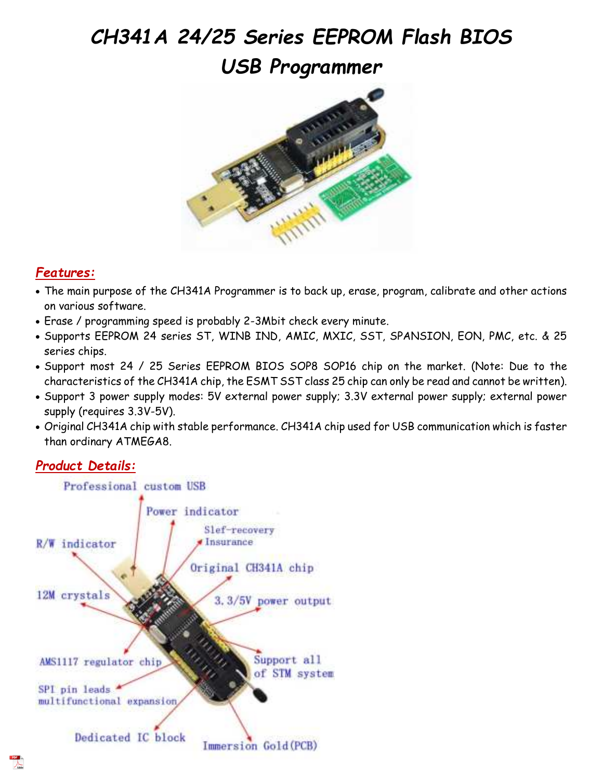# *CH341A 24/25 Series EEPROM Flash BIOS USB Programmer*



## *Features:*

- The main purpose of the CH341A Programmer is to back up, erase, program, calibrate and other actions on various software.
- Erase / programming speed is probably 2-3Mbit check every minute.
- Supports EEPROM 24 series ST, WINB IND, AMIC, MXIC, SST, SPANSION, EON, PMC, etc. & 25 series chips.
- Support most 24 / 25 Series EEPROM BIOS SOP8 SOP16 chip on the market. (Note: Due to the characteristics of the CH341A chip, the ESMT SST class 25 chip can only be read and cannot be written).
- Support 3 power supply modes: 5V external power supply; 3.3V external power supply; external power supply (requires 3.3V-5V).
- Original CH341A chip with stable performance. CH341A chip used for USB communication which is faster than ordinary ATMEGA8.

## *Product Details:*